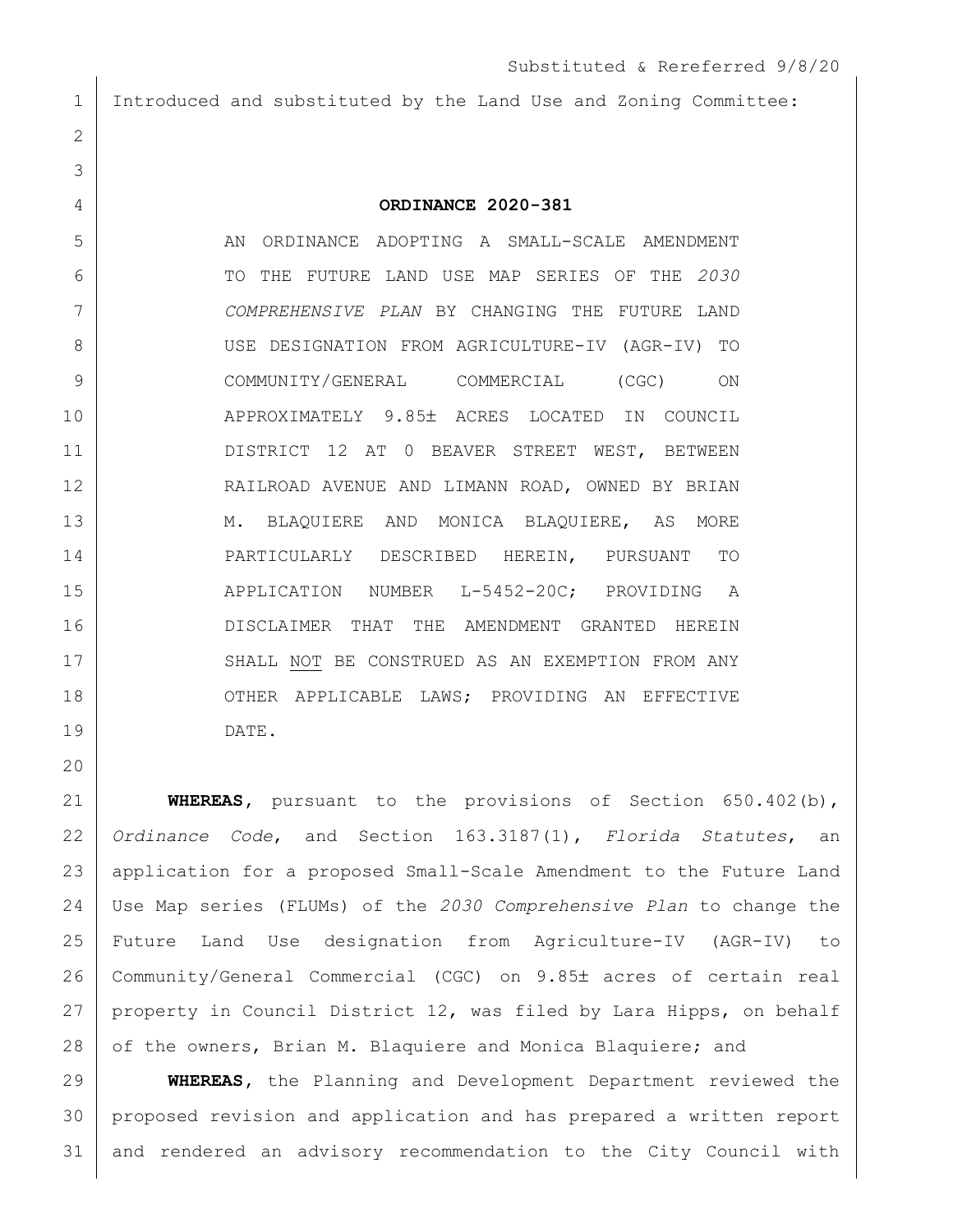Introduced and substituted by the Land Use and Zoning Committee:

**ORDINANCE 2020-381**

 AN ORDINANCE ADOPTING A SMALL-SCALE AMENDMENT TO THE FUTURE LAND USE MAP SERIES OF THE *2030 COMPREHENSIVE PLAN* BY CHANGING THE FUTURE LAND USE DESIGNATION FROM AGRICULTURE-IV (AGR-IV) TO COMMUNITY/GENERAL COMMERCIAL (CGC) ON 10 APPROXIMATELY 9.85± ACRES LOCATED IN COUNCIL DISTRICT 12 AT 0 BEAVER STREET WEST, BETWEEN RAILROAD AVENUE AND LIMANN ROAD, OWNED BY BRIAN 13 M. BLAQUIERE AND MONICA BLAQUIERE, AS MORE PARTICULARLY DESCRIBED HEREIN, PURSUANT TO 15 APPLICATION NUMBER L-5452-20C; PROVIDING A DISCLAIMER THAT THE AMENDMENT GRANTED HEREIN 17 SHALL NOT BE CONSTRUED AS AN EXEMPTION FROM ANY 18 OTHER APPLICABLE LAWS; PROVIDING AN EFFECTIVE DATE.

 **WHEREAS,** pursuant to the provisions of Section 650.402(b), *Ordinance Code*, and Section 163.3187(1), *Florida Statutes*, an application for a proposed Small-Scale Amendment to the Future Land Use Map series (FLUMs) of the *2030 Comprehensive Plan* to change the Future Land Use designation from Agriculture-IV (AGR-IV) to 26 | Community/General Commercial (CGC) on 9.85± acres of certain real property in Council District 12, was filed by Lara Hipps, on behalf 28 of the owners, Brian M. Blaquiere and Monica Blaquiere; and

 **WHEREAS,** the Planning and Development Department reviewed the proposed revision and application and has prepared a written report and rendered an advisory recommendation to the City Council with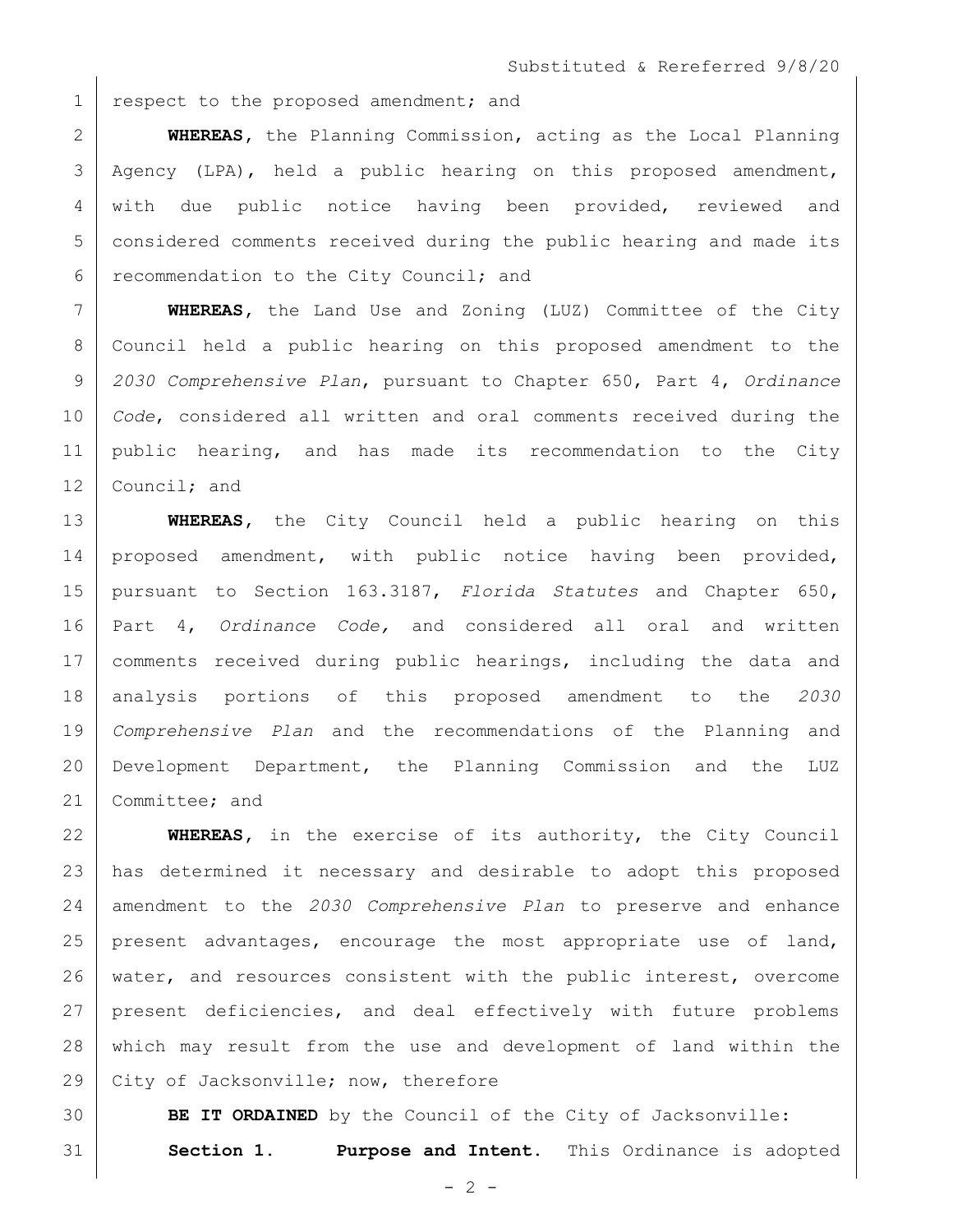1 respect to the proposed amendment; and

 **WHEREAS,** the Planning Commission, acting as the Local Planning Agency (LPA), held a public hearing on this proposed amendment, with due public notice having been provided, reviewed and considered comments received during the public hearing and made its 6 recommendation to the City Council; and

 **WHEREAS,** the Land Use and Zoning (LUZ) Committee of the City Council held a public hearing on this proposed amendment to the *2030 Comprehensive Plan*, pursuant to Chapter 650, Part 4, *Ordinance Code*, considered all written and oral comments received during the public hearing, and has made its recommendation to the City 12 Council; and

 **WHEREAS,** the City Council held a public hearing on this 14 proposed amendment, with public notice having been provided, pursuant to Section 163.3187, *Florida Statutes* and Chapter 650, Part 4, *Ordinance Code,* and considered all oral and written comments received during public hearings, including the data and analysis portions of this proposed amendment to the *2030 Comprehensive Plan* and the recommendations of the Planning and Development Department, the Planning Commission and the LUZ 21 Committee; and

 **WHEREAS,** in the exercise of its authority, the City Council has determined it necessary and desirable to adopt this proposed amendment to the *2030 Comprehensive Plan* to preserve and enhance present advantages, encourage the most appropriate use of land, water, and resources consistent with the public interest, overcome present deficiencies, and deal effectively with future problems which may result from the use and development of land within the 29 City of Jacksonville; now, therefore

 **BE IT ORDAINED** by the Council of the City of Jacksonville: **Section 1. Purpose and Intent.** This Ordinance is adopted

 $- 2 -$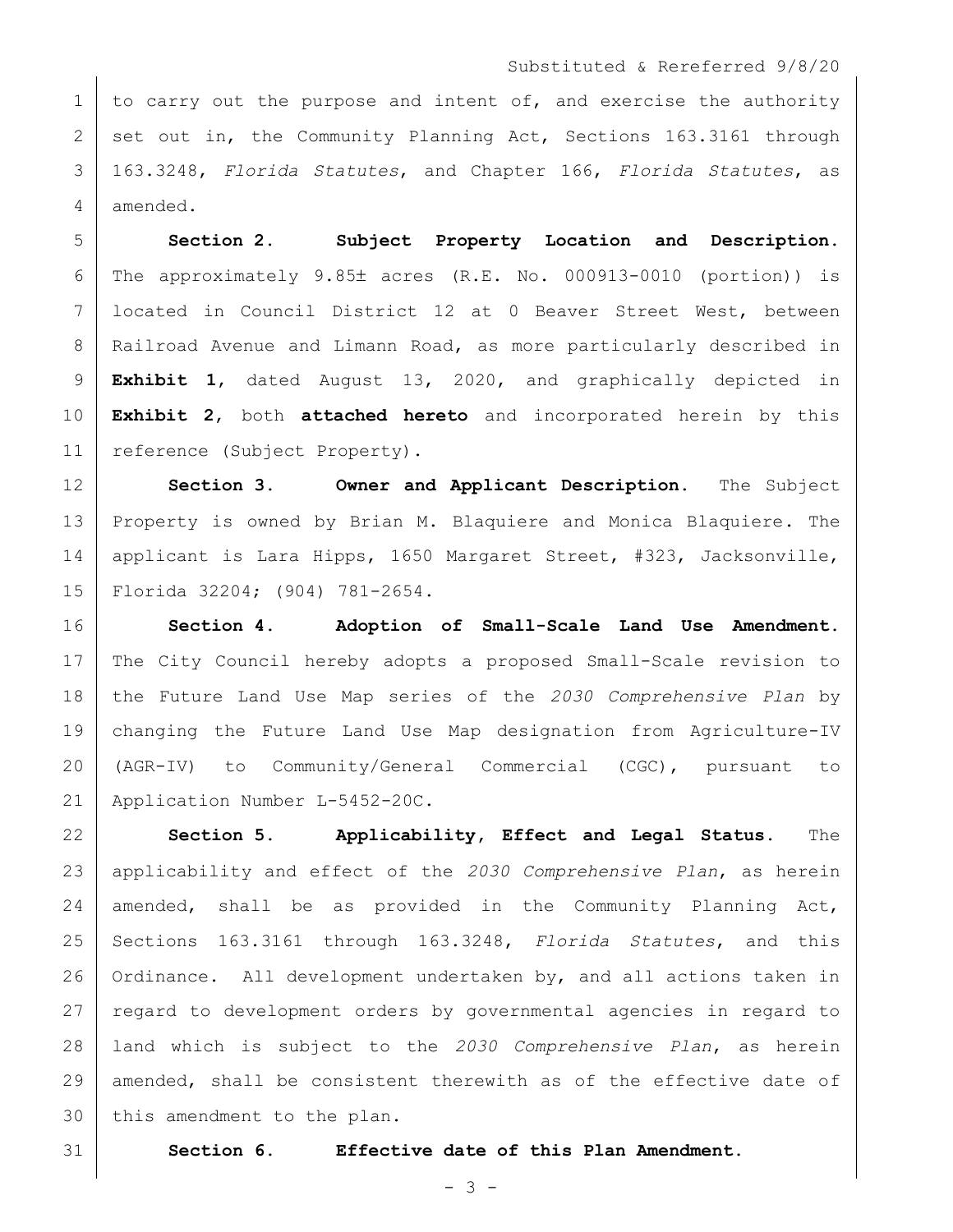## Substituted & Rereferred 9/8/20

1 to carry out the purpose and intent of, and exercise the authority 2 set out in, the Community Planning Act, Sections 163.3161 through 163.3248, *Florida Statutes*, and Chapter 166, *Florida Statutes*, as amended.

 **Section 2. Subject Property Location and Description.** 6 The approximately 9.85 acres  $(R.E. No. 000913-0010$  (portion)) is located in Council District 12 at 0 Beaver Street West, between 8 | Railroad Avenue and Limann Road, as more particularly described in **Exhibit 1**, dated August 13, 2020, and graphically depicted in **Exhibit 2**, both **attached hereto** and incorporated herein by this 11 | reference (Subject Property).

 **Section 3. Owner and Applicant Description.** The Subject Property is owned by Brian M. Blaquiere and Monica Blaquiere. The 14 applicant is Lara Hipps, 1650 Margaret Street, #323, Jacksonville, Florida 32204; (904) 781-2654.

 **Section 4. Adoption of Small-Scale Land Use Amendment.**  The City Council hereby adopts a proposed Small-Scale revision to the Future Land Use Map series of the *2030 Comprehensive Plan* by changing the Future Land Use Map designation from Agriculture-IV (AGR-IV) to Community/General Commercial (CGC), pursuant to Application Number L-5452-20C.

 **Section 5. Applicability, Effect and Legal Status.** The applicability and effect of the *2030 Comprehensive Plan*, as herein amended, shall be as provided in the Community Planning Act, Sections 163.3161 through 163.3248, *Florida Statutes*, and this 26 | Ordinance. All development undertaken by, and all actions taken in regard to development orders by governmental agencies in regard to land which is subject to the *2030 Comprehensive Plan*, as herein amended, shall be consistent therewith as of the effective date of 30 this amendment to the plan.

**Section 6. Effective date of this Plan Amendment.**